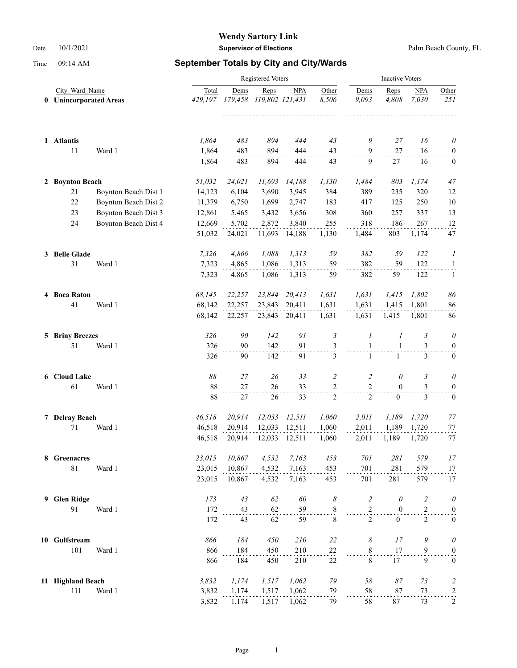# **Wendy Sartory Link**

Date 10/1/2021 **Supervisor of Elections** Palm Beach County, FL

|                                          |                      |                  | <b>Inactive Voters</b> |                         |               |                |                     |                  |                         |                       |
|------------------------------------------|----------------------|------------------|------------------------|-------------------------|---------------|----------------|---------------------|------------------|-------------------------|-----------------------|
| City Ward Name<br>0 Unincorporated Areas |                      | Total<br>429,197 | Dems<br>179,458        | Reps<br>119,802 121,431 | <b>NPA</b>    | Other<br>8,506 | Dems<br>9,093       | Reps<br>4,808    | <b>NPA</b><br>7,030     | Other<br>251          |
| 1 Atlantis                               |                      | 1,864            | 483                    | 894                     | 444           | 43             | 9                   | 27               | 16                      | $\theta$              |
| $11\,$                                   | Ward 1               | 1,864<br>1,864   | 483<br>483             | 894<br>894              | 444<br>444    | 43<br>43       | $\overline{9}$<br>9 | 27<br>27         | 16<br>16                | 0<br>$\boldsymbol{0}$ |
| 2 Boynton Beach                          |                      | 51,032           | 24,021                 | 11,693                  | 14,188        | 1,130          | 1,484               | 803              | 1,174                   | 47                    |
| 21                                       | Boynton Beach Dist 1 | 14,123           | 6,104                  | 3,690                   | 3,945         | 384            | 389                 | 235              | 320                     | 12                    |
| $22\,$                                   | Boynton Beach Dist 2 | 11,379           | 6,750                  | 1,699                   | 2,747         | 183            | 417                 | 125              | 250                     | 10                    |
| 23                                       | Boynton Beach Dist 3 | 12,861           | 5,465                  | 3,432                   | 3,656         | 308            | 360                 | 257              | 337                     | 13                    |
| 24                                       | Boynton Beach Dist 4 | 12,669           | 5,702                  | 2,872                   | 3,840         | 255            | 318                 | 186              | 267                     | 12                    |
|                                          |                      | 51,032           | 24,021                 | 11,693                  | 14,188        | 1,130          | 1,484               | 803              | 1,174                   | 47                    |
| 3 Belle Glade                            |                      | 7,326            | 4,866                  | 1,088                   | 1,313         | 59             | 382                 | 59               | 122                     | 1                     |
| 31                                       | Ward 1               | 7,323            | 4,865                  | 1,086                   | 1,313         | 59             | 382                 | 59               | 122                     | $\mathbf{1}$          |
|                                          |                      | 7,323            | 4,865                  | 1,086                   | 1,313         | 59             | 382                 | 59               | 122                     | $\mathbf{1}$          |
| 4 Boca Raton                             |                      | 68,145           | 22,257                 | 23,844                  | 20,413        | 1,631          | 1,631               | 1,415            | 1,802                   | 86                    |
| 41                                       | Ward 1               | 68,142           | 22,257                 | 23,843                  | 20,411        | 1,631          | 1,631               | 1.415            | 1,801                   | 86                    |
|                                          |                      | 68,142           | 22,257                 |                         | 23,843 20,411 | 1,631          | 1,631               | 1,415            | 1,801                   | 86                    |
| <b>5 Briny Breezes</b>                   |                      | 326              | 90                     | 142                     | 91            | $\mathfrak{Z}$ | $\boldsymbol{l}$    | 1                | 3                       | 0                     |
| 51                                       | Ward 1               | 326              | 90                     | 142                     | 91            | 3              | $\mathbf{1}$        | $\mathbf{1}$     | 3                       | $\bf{0}$              |
|                                          |                      | 326              | 90                     | 142                     | 91            | 3              | $\mathbf{1}$        | $\mathbf{1}$     | 3                       | $\boldsymbol{0}$      |
| 6 Cloud Lake                             |                      | 88               | 27                     | 26                      | 33            | $\overline{c}$ | $\overline{c}$      | $\theta$         | 3                       | $\theta$              |
| 61                                       | Ward 1               | 88               | 27                     | 26                      | 33            | 2              | $\sqrt{2}$          | $\mathbf{0}$     | 3                       | $\boldsymbol{0}$      |
|                                          |                      | 88               | 27                     | 26                      | 33            | 2              | 2                   | $\mathbf{0}$     | $\mathfrak{Z}$          | $\mathbf{0}$          |
| 7 Delray Beach                           |                      | 46,518           | 20,914                 | 12,033                  | 12,511        | 1,060          | 2,011               | 1,189            | 1,720                   | 77                    |
| 71                                       | Ward 1               | 46,518           | 20,914                 | 12,033                  | 12,511        | 1,060          | 2,011               | 1,189            | 1,720                   | 77                    |
|                                          |                      | 46,518           | 20,914                 | 12,033                  | 12,511        | 1,060          | 2,011               | 1,189            | 1,720                   | 77                    |
| 8 Greenacres                             |                      | 23,015           | 10,867                 | 4,532                   | 7,163         | 453            | 701                 | 281              | 579                     | 17                    |
| $81\,$                                   | Ward 1               | 23,015           | 10,867                 | 4,532                   | 7,163         | 453            | 701                 | 281              | 579                     | 17                    |
|                                          |                      | 23,015           | 10,867                 | 4,532                   | 7,163         | 453            | 701                 | 281              | 579                     | 17                    |
| 9 Glen Ridge                             |                      | 173              | 43                     | 62                      | 60            | 8              | $\overline{c}$      | $\theta$         | $\overline{\mathbf{c}}$ | $\theta$              |
| 91                                       | Ward 1               | 172              | 43                     | 62                      | 59            | $\frac{8}{1}$  | $\mathbf{2}$        | $\boldsymbol{0}$ | $\overline{c}$          | $\boldsymbol{0}$      |
|                                          |                      | 172              | 43                     | 62                      | 59            | $\,$ 8 $\,$    | $\overline{2}$      | $\overline{0}$   | $\overline{c}$          | $\boldsymbol{0}$      |
| 10 Gulfstream                            |                      | 866              | 184                    | 450                     | 210           | 22             | 8                   | 17               | 9                       | $\theta$              |
| 101                                      | Ward 1               | 866              | 184                    | 450                     | 210           | 22             | $8\,$               | 17               | 9                       | $\boldsymbol{0}$      |
|                                          |                      | 866              | 184                    | 450                     | 210           | 22             | $\,8\,$             | 17               | 9                       | $\boldsymbol{0}$      |
| 11 Highland Beach                        |                      | 3,832            | 1,174                  | 1,517                   | 1,062         | 79             | 58                  | $\sqrt{87}$      | 73                      | $\overline{c}$        |
| 111                                      | Ward 1               | 3,832            | 1,174                  | 1,517                   | 1,062         | 79             | 58                  | $87\,$           | 73                      | $\frac{2}{\cdot}$     |
|                                          |                      | 3,832            | 1,174                  | 1,517                   | 1,062         | 79             | 58                  | $87\,$           | 73                      | 2                     |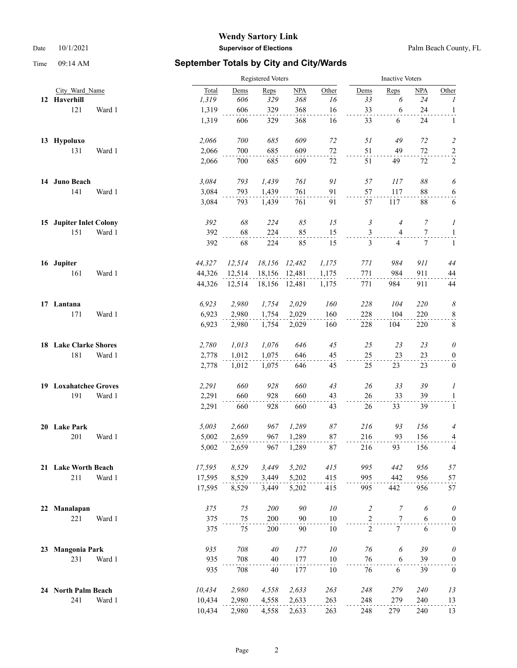### **Wendy Sartory Link** Date 10/1/2021 **Supervisor of Elections** Palm Beach County, FL

|    |                              |        | Registered Voters | <b>Inactive Voters</b> |               |                  |                |                 |            |                  |
|----|------------------------------|--------|-------------------|------------------------|---------------|------------------|----------------|-----------------|------------|------------------|
|    | City Ward Name               | Total  | Dems              | Reps                   | NPA           | Other            | Dems           | Reps            | <b>NPA</b> | Other            |
|    | 12 Haverhill                 | 1,319  | 606               | 329                    | 368           | 16               | 33             | 6               | 24         | 1                |
|    | 121<br>Ward 1                | 1,319  | 606               | 329                    | 368           | 16               | 33             | 6               | 24         | $\mathbf{1}$     |
|    |                              | 1,319  | 606               | 329                    | 368           | 16               | 33             | 6               | 24         | $\mathbf{1}$     |
|    | 13 Hypoluxo                  | 2,066  | 700               | 685                    | 609           | 72               | 51             | 49              | 72         | $\overline{c}$   |
|    | 131<br>Ward 1                | 2,066  | 700               | 685                    | 609           | $72\,$           | 51             | 49              | $72\,$     | $\overline{a}$   |
|    |                              | 2,066  | 700               | 685                    | 609           | 72               | 51             | 49              | 72         | 2                |
|    | 14 Juno Beach                | 3,084  | 793               | 1,439                  | 761           | $\mathfrak{g}_I$ | 57             | 117             | 88         | 6                |
|    | 141<br>Ward 1                | 3,084  | 793               | 1,439                  | 761           | 91               | 57             | 117             | 88         | $\overline{6}$   |
|    |                              | 3,084  | 793               | 1,439                  | 761           | 91               | 57             | 117             | 88         | 6                |
|    | 15 Jupiter Inlet Colony      | 392    | 68                | 224                    | 85            | 15               | 3              | $\overline{4}$  | 7          | 1                |
|    | 151<br>Ward 1                | 392    | 68                | 224                    | 85            | 15               | 3              | 4               | 7          | $\overline{a}$   |
|    |                              | 392    | 68                | 224                    | 85            | 15               | 3              | 4               | 7          | 1                |
|    | 16 Jupiter                   | 44,327 | 12,514            | 18,156                 | 12,482        | 1,175            | 771            | 984             | 911        | 44               |
|    | 161<br>Ward 1                | 44,326 | 12,514            | 18,156                 | 12,481        | 1,175            | 771            | 984             | 911        | 44               |
|    |                              | 44,326 | 12,514            |                        | 18,156 12,481 | 1,175            | 771            | 984             | 911        | 44               |
|    | 17 Lantana                   | 6,923  | 2,980             | 1,754                  | 2,029         | 160              | 228            | 104             | 220        | 8                |
|    | 171<br>Ward 1                | 6,923  | 2,980             | 1,754                  | 2,029         | 160              | 228            | 104             | 220        | $\frac{8}{1}$    |
|    |                              | 6,923  | 2,980             | 1,754                  | 2,029         | 160              | 228            | 104             | 220        | $8\,$            |
|    | <b>18 Lake Clarke Shores</b> | 2,780  | 1,013             | 1,076                  | 646           | 45               | 25             | 23              | 23         | $\theta$         |
|    | 181<br>Ward 1                | 2,778  | 1,012             | 1,075                  | 646           | 45               | 25             | 23              | 23         | $\boldsymbol{0}$ |
|    |                              | 2,778  | 1,012             | 1,075                  | 646           | 45               | 25             | 23              | 23         | $\bf{0}$         |
|    | 19 Loxahatchee Groves        | 2,291  | 660               | 928                    | 660           | 43               | 26             | 33              | 39         | 1                |
|    | 191<br>Ward 1                | 2,291  | 660               | 928                    | 660           | 43               | 26             | 33              | 39         | $\mathbf{1}$     |
|    |                              | 2,291  | 660               | 928                    | 660           | 43               | 26             | 33              | 39         | $\mathbf{1}$     |
|    | 20 Lake Park                 | 5,003  | 2,660             | 967                    | 1,289         | 87               | 216            | 93              | 156        | 4                |
|    | 201<br>Ward 1                | 5,002  | 2,659             | 967                    | 1,289         | 87               | 216            | 93              | 156        | 4                |
|    |                              | 5,002  | 2,659             | 967                    | 1,289         | 87               | 216            | 93              | 156        | 4                |
|    | 21 Lake Worth Beach          | 17,595 | 8,529             | 3,449                  | 5,202         | 415              | 995            | 442             | 956        | 57               |
|    | 211<br>Ward 1                | 17,595 | 8,529             | 3,449                  | 5,202         | 415              | 995            | 442             | 956        | 57               |
|    |                              | 17,595 | 8,529             | 3,449                  | 5,202         | 415              | 995            | 442             | 956        | 57               |
| 22 | Manalapan                    | 375    | 75                | 200                    | 90            | 10               | $\overline{c}$ | $\overline{7}$  | 6          | $\theta$         |
|    | 221<br>Ward 1                | 375    | 75                | 200                    | 90            | 10               | $\overline{2}$ | 7               | 6          | $\boldsymbol{0}$ |
|    |                              | 375    | 75                | 200                    | 90            | 10               | $\overline{2}$ | $7\overline{ }$ | 6          | $\mathbf{0}$     |
| 23 | <b>Mangonia Park</b>         | 935    | 708               | 40                     | 177           | $10\,$           | 76             | 6               | 39         | $\theta$         |
|    | 231<br>Ward 1                | 935    | 708               | 40                     | 177           | 10               | 76             | 6               | 39         | $\boldsymbol{0}$ |
|    |                              | 935    | 708               | 40                     | 177           | 10               | 76             | 6               | 39         | $\boldsymbol{0}$ |
|    | 24 North Palm Beach          | 10,434 | 2,980             | 4,558                  | 2,633         | 263              | 248            | 279             | 240        | 13               |
|    | 241<br>Ward 1                | 10,434 | 2,980             | 4,558                  | 2,633         | 263              | 248            | 279             | 240        | 13               |
|    |                              | 10,434 | 2,980             | 4,558                  | 2,633         | 263              | 248            | 279             | 240        | 13               |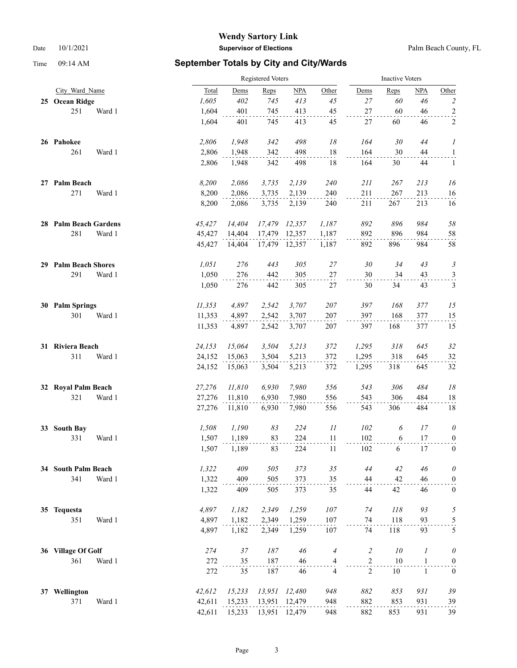### **Wendy Sartory Link** Date 10/1/2021 **Supervisor of Elections** Palm Beach County, FL

|                       | Registered Voters |        |        |               |                          | <b>Inactive Voters</b> |        |                  |                  |  |
|-----------------------|-------------------|--------|--------|---------------|--------------------------|------------------------|--------|------------------|------------------|--|
| City Ward Name        | Total             | Dems   | Reps   | NPA           | Other                    | Dems                   | Reps   | NPA              | Other            |  |
| 25 Ocean Ridge        | 1,605             | 402    | 745    | 413           | 45                       | 27                     | 60     | 46               | $\overline{c}$   |  |
| 251<br>Ward 1         | 1,604             | 401    | 745    | 413           | 45                       | 27                     | 60     | 46               | $\overline{a}$   |  |
|                       | 1,604             | 401    | 745    | 413           | 45                       | 27                     | 60     | 46               | 2                |  |
| 26 Pahokee            | 2,806             | 1,948  | 342    | 498           | 18                       | 164                    | 30     | 44               | 1                |  |
| 261<br>Ward 1         | 2,806             | 1,948  | 342    | 498           | $18\,$                   | 164                    | 30     | 44               | $\overline{a}$   |  |
|                       | 2,806             | 1,948  | 342    | 498           | 18                       | 164                    | 30     | 44               | $\mathbf{1}$     |  |
| 27 Palm Beach         | 8,200             | 2,086  | 3,735  | 2,139         | 240                      | 211                    | 267    | 213              | 16               |  |
| 271<br>Ward 1         | 8,200             | 2,086  | 3,735  | 2,139         | 240                      | 211                    | 267    | 213              | 16               |  |
|                       | 8,200             | 2,086  | 3,735  | 2,139         | 240                      | 211                    | 267    | 213              | 16               |  |
| 28 Palm Beach Gardens | 45,427            | 14,404 | 17,479 | 12,357        | 1,187                    | 892                    | 896    | 984              | 58               |  |
| 281<br>Ward 1         | 45,427            | 14,404 | 17,479 | 12,357        | 1,187                    | 892                    | 896    | 984              | 58               |  |
|                       | 45,427            | 14,404 |        | 17,479 12,357 | 1,187                    | 892                    | 896    | 984              | 58               |  |
| 29 Palm Beach Shores  | 1,051             | 276    | 443    | 305           | 27                       | 30                     | 34     | 43               | 3                |  |
| 291<br>Ward 1         | 1,050             | 276    | 442    | 305           | $27\,$                   | $30\,$                 | 34     | 43               | $\frac{3}{2}$    |  |
|                       | 1,050             | 276    | 442    | 305           | 27                       | 30                     | 34     | 43               | 3                |  |
| 30 Palm Springs       | 11,353            | 4,897  | 2,542  | 3,707         | 207                      | 397                    | 168    | 377              | 15               |  |
| 301<br>Ward 1         | 11,353            | 4,897  | 2,542  | 3,707         | 207                      | 397                    | 168    | 377              | 15               |  |
|                       | 11,353            | 4,897  | 2,542  | 3,707         | 207                      | 397                    | 168    | 377              | 15               |  |
| 31 Riviera Beach      | 24,153            | 15,064 | 3,504  | 5,213         | 372                      | 1,295                  | 318    | 645              | 32               |  |
| 311<br>Ward 1         | 24,152            | 15,063 | 3,504  | 5,213         | 372                      | 1,295                  | 318    | 645              | $32\,$           |  |
|                       | 24,152            | 15,063 | 3,504  | 5,213         | 372                      | 1,295                  | 318    | 645              | 32               |  |
| 32 Royal Palm Beach   | 27,276            | 11,810 | 6,930  | 7,980         | 556                      | 543                    | 306    | 484              | $18$             |  |
| 321<br>Ward 1         | 27,276            | 11,810 | 6,930  | 7,980         | 556                      | 543                    | 306    | 484              | 18               |  |
|                       | 27,276            | 11,810 | 6,930  | 7,980         | 556                      | 543                    | 306    | 484              | 18               |  |
| 33 South Bay          | 1,508             | 1,190  | 83     | 224           | $\mathcal{I}\mathcal{I}$ | 102                    | 6      | 17               | $\theta$         |  |
| 331<br>Ward 1         | 1,507             | 1,189  | 83     | 224           | 11                       | 102                    | 6      | 17               | $\overline{0}$   |  |
|                       | 1,507             | 1,189  | 83     | 224           | 11                       | 102                    | 6      | 17               | $\boldsymbol{0}$ |  |
| 34 South Palm Beach   | 1,322             | 409    | 505    | 373           | 35                       | 44                     | 42     | 46               | $\theta$         |  |
| 341<br>Ward 1         | 1,322             | 409    | 505    | 373           | 35                       | 44                     | 42     | 46               | $\boldsymbol{0}$ |  |
|                       | 1,322             | 409    | 505    | 373           | 35                       | 44                     | 42     | 46               | $\boldsymbol{0}$ |  |
| 35 Tequesta           | 4,897             | 1,182  | 2,349  | 1,259         | 107                      | 74                     | 118    | 93               | 5                |  |
| 351<br>Ward 1         | 4,897             | 1,182  | 2,349  | 1,259         | 107                      | 74                     | 118    | 93               | $\frac{5}{5}$    |  |
|                       | 4,897             | 1,182  | 2,349  | 1,259         | 107                      | 74                     | 118    | 93               |                  |  |
| 36 Village Of Golf    | 274               | 37     | 187    | 46            | $\overline{4}$           | $\overline{c}$         | 10     | $\boldsymbol{l}$ | $\theta$         |  |
| 361<br>Ward 1         | 272               | 35     | 187    | 46            | 4                        | $\overline{c}$         | $10\,$ | $\mathbf{1}$     | $\overline{0}$   |  |
|                       | 272               | 35     | 187    | 46            | $\overline{4}$           | 2                      | $10\,$ | $\mathbf{1}$     | $\boldsymbol{0}$ |  |
| 37 Wellington         | 42,612            | 15,233 | 13,951 | 12,480        | 948                      | 882                    | 853    | 931              | 39               |  |
| 371<br>Ward 1         | 42,611            | 15,233 | 13,951 | 12,479        | 948                      | 882                    | 853    | 931              | 39               |  |
|                       | 42,611            | 15,233 | 13,951 | 12,479        | 948                      | 882                    | 853    | 931              | 39               |  |